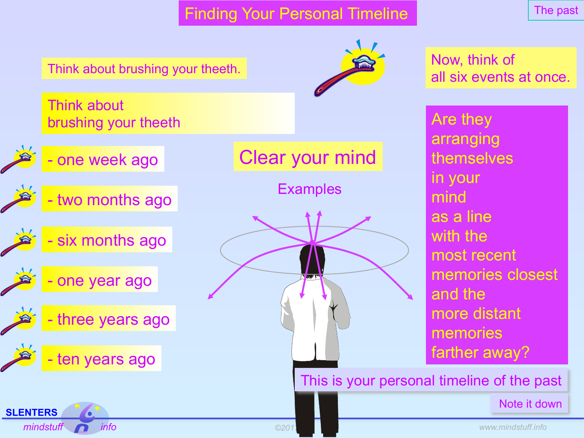Finding Your Personal Timeline

The past



Note it down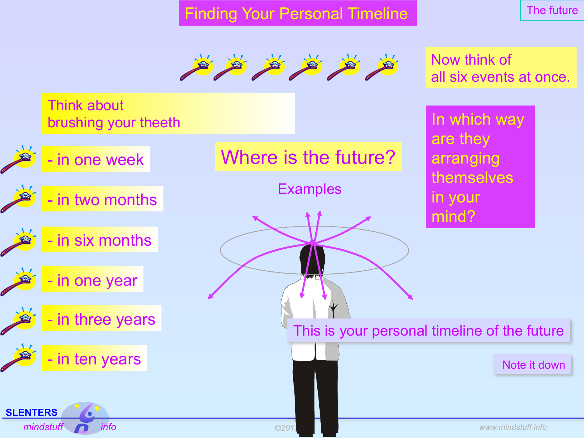Finding Your Personal Timeline

The future



Now think of all six events at once.

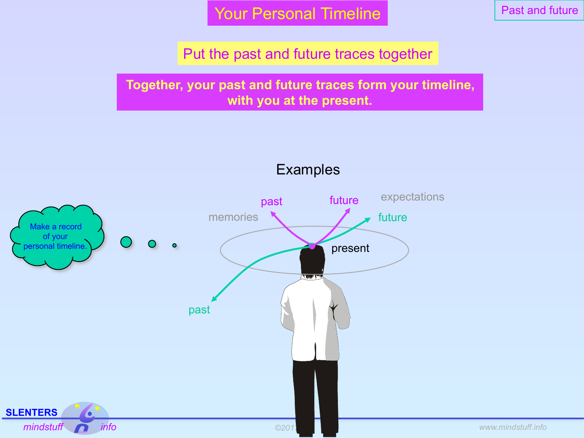Your Personal Timeline

Past and future

Put the past and future traces together

**Together, your past and future traces form your timeline, with you at the present.**